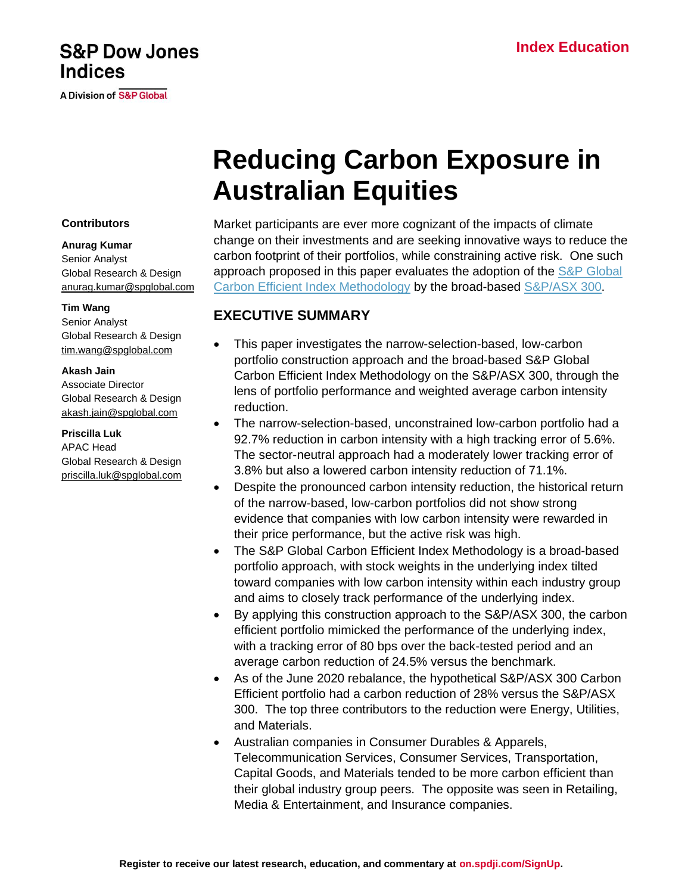# **S&P Dow Jones Indices**

**A Division of S&P Global** 

# **Reducing Carbon Exposure in Australian Equities**

### **Contributors**

### **Anurag Kumar**

Senior Analyst Global Research & Design [anurag.kumar@spglobal.com](mailto:anurag.kumar@spglobal.com)

### **Tim Wang**

Senior Analyst Global Research & Design [tim.wang@spglobal.com](mailto:tim.wang@spglobal.com)

### **Akash Jain**

Associate Director Global Research & Design [akash.jain@spglobal.com](mailto:akash.jain@spglobal.com)

### **Priscilla Luk**

APAC Head Global Research & Design [priscilla.luk@spglobal.com](mailto:priscilla.luk@spglobal.com) Market participants are ever more cognizant of the impacts of climate change on their investments and are seeking innovative ways to reduce the carbon footprint of their portfolios, while constraining active risk. One such approach proposed in this paper evaluates the adoption of the [S&P Global](https://www.spglobal.com/spdji/en/documents/methodologies/methodology-sp-global-carbon-efficient-index-series.pdf)  [Carbon Efficient Index Methodology](https://www.spglobal.com/spdji/en/documents/methodologies/methodology-sp-global-carbon-efficient-index-series.pdf) by the broad-based [S&P/ASX 300.](https://www.spglobal.com/spdji/en/indices/equity/sp-asx-300/#overview)

# **EXECUTIVE SUMMARY**

- This paper investigates the narrow-selection-based, low-carbon portfolio construction approach and the broad-based S&P Global Carbon Efficient Index Methodology on the S&P/ASX 300, through the lens of portfolio performance and weighted average carbon intensity reduction.
- The narrow-selection-based, unconstrained low-carbon portfolio had a 92.7% reduction in carbon intensity with a high tracking error of 5.6%. The sector-neutral approach had a moderately lower tracking error of 3.8% but also a lowered carbon intensity reduction of 71.1%.
- Despite the pronounced carbon intensity reduction, the historical return of the narrow-based, low-carbon portfolios did not show strong evidence that companies with low carbon intensity were rewarded in their price performance, but the active risk was high.
- The S&P Global Carbon Efficient Index Methodology is a broad-based portfolio approach, with stock weights in the underlying index tilted toward companies with low carbon intensity within each industry group and aims to closely track performance of the underlying index.
- By applying this construction approach to the S&P/ASX 300, the carbon efficient portfolio mimicked the performance of the underlying index, with a tracking error of 80 bps over the back-tested period and an average carbon reduction of 24.5% versus the benchmark.
- As of the June 2020 rebalance, the hypothetical S&P/ASX 300 Carbon Efficient portfolio had a carbon reduction of 28% versus the S&P/ASX 300. The top three contributors to the reduction were Energy, Utilities, and Materials.
- Australian companies in Consumer Durables & Apparels, Telecommunication Services, Consumer Services, Transportation, Capital Goods, and Materials tended to be more carbon efficient than their global industry group peers. The opposite was seen in Retailing, Media & Entertainment, and Insurance companies.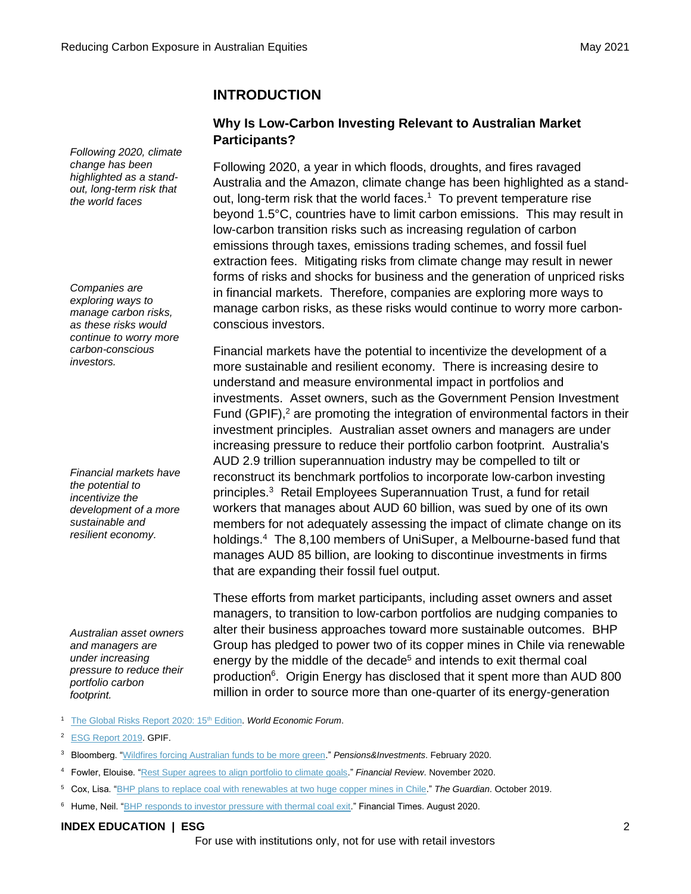*Following 2020, climate change has been highlighted as a standout, long-term risk that the world faces*

*Companies are exploring ways to manage carbon risks, as these risks would continue to worry more carbon-conscious investors.*

*Financial markets have the potential to incentivize the development of a more sustainable and resilient economy.*

*Australian asset owners and managers are under increasing pressure to reduce their portfolio carbon footprint.* 

# **INTRODUCTION**

# **Why Is Low-Carbon Investing Relevant to Australian Market Participants?**

Following 2020, a year in which floods, droughts, and fires ravaged Australia and the Amazon, climate change has been highlighted as a standout, long-term risk that the world faces.<sup>1</sup> To prevent temperature rise beyond 1.5°C, countries have to limit carbon emissions. This may result in low-carbon transition risks such as increasing regulation of carbon emissions through taxes, emissions trading schemes, and fossil fuel extraction fees. Mitigating risks from climate change may result in newer forms of risks and shocks for business and the generation of unpriced risks in financial markets. Therefore, companies are exploring more ways to manage carbon risks, as these risks would continue to worry more carbonconscious investors.

Financial markets have the potential to incentivize the development of a more sustainable and resilient economy. There is increasing desire to understand and measure environmental impact in portfolios and investments. Asset owners, such as the Government Pension Investment Fund (GPIF), $<sup>2</sup>$  are promoting the integration of environmental factors in their</sup> investment principles. Australian asset owners and managers are under increasing pressure to reduce their portfolio carbon footprint. Australia's AUD 2.9 trillion superannuation industry may be compelled to tilt or reconstruct its benchmark portfolios to incorporate low-carbon investing principles.<sup>3</sup> Retail Employees Superannuation Trust, a fund for retail workers that manages about AUD 60 billion, was sued by one of its own members for not adequately assessing the impact of climate change on its holdings.<sup>4</sup> The 8,100 members of UniSuper, a Melbourne-based fund that manages AUD 85 billion, are looking to discontinue investments in firms that are expanding their fossil fuel output.

These efforts from market participants, including asset owners and asset managers, to transition to low-carbon portfolios are nudging companies to alter their business approaches toward more sustainable outcomes. BHP Group has pledged to power two of its copper mines in Chile via renewable energy by the middle of the decade<sup>5</sup> and intends to exit thermal coal production<sup>6</sup>. Origin Energy has disclosed that it spent more than AUD 800 million in order to source more than one-quarter of its energy-generation

- <sup>1</sup> [The Global Risks Report 2020: 15](http://www3.weforum.org/docs/WEF_Global_Risk_Report_2020.pdf)<sup>th</sup> Edition. World Economic Forum.
- <sup>2</sup> [ESG Report 2019.](https://www.gpif.go.jp/en/investment/GPIF_ESGREPORT_FY2019.pdf) GPIF.
- <sup>3</sup> Bloomberg. ["Wildfires forcing Australian funds to be more green."](https://www.pionline.com/esg/wildfires-forcing-australian-funds-be-more-green) *Pensions&Investments*. February 2020.
- <sup>4</sup> Fowler, Elouise. ["Rest Super agrees to align portfolio to climate goals.](https://www.afr.com/policy/energy-and-climate/rest-super-settles-climate-lawsuit-20201102-p56au9)" *Financial Review*. November 2020.
- <sup>5</sup> Cox, Lisa. ["BHP plans to replace coal with renewables at two huge copper mines in Chile.](https://www.theguardian.com/business/2019/oct/22/bhp-replace-coal-renewables-two-huge-copper-mines-chile)" *The Guardian*. October 2019.
- <sup>6</sup> Hume, Neil. ["BHP responds to investor pressure with thermal coal exit.](https://www.ft.com/content/82c407a4-4bef-447f-b581-038278b28ff8)" Financial Times. August 2020.

### **INDEX EDUCATION | ESG** 2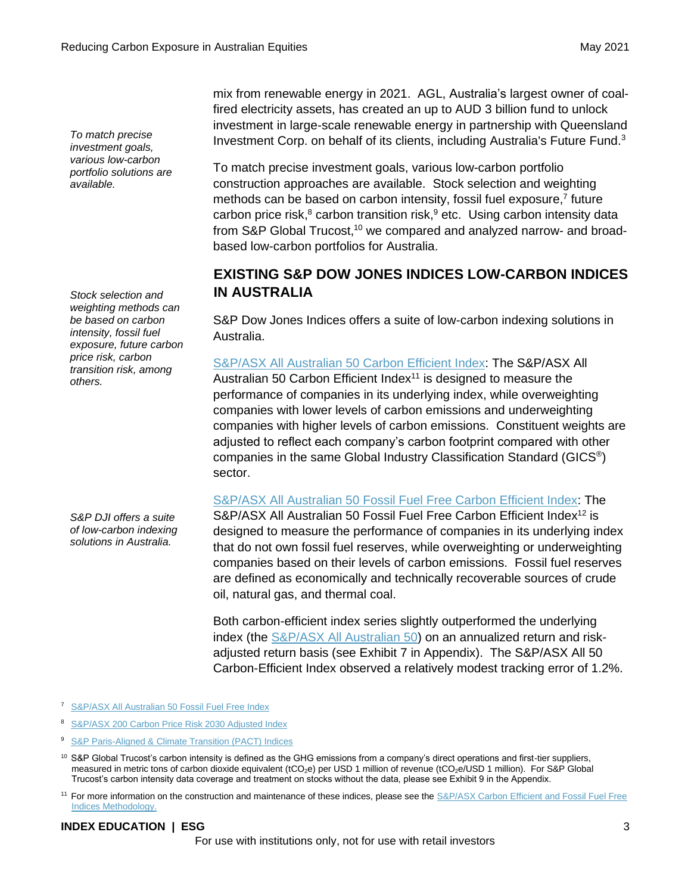*To match precise investment goals, various low-carbon portfolio solutions are available.* 

*Stock selection and weighting methods can be based on carbon intensity, fossil fuel exposure, future carbon price risk, carbon transition risk, among others.*

*S&P DJI offers a suite of low-carbon indexing solutions in Australia.*

mix from renewable energy in 2021. AGL, Australia's largest owner of coalfired electricity assets, has created an up to AUD 3 billion fund to unlock investment in large-scale renewable energy in partnership with Queensland Investment Corp. on behalf of its clients, including Australia's Future Fund.<sup>3</sup>

To match precise investment goals, various low-carbon portfolio construction approaches are available. Stock selection and weighting methods can be based on carbon intensity, fossil fuel exposure,<sup>7</sup> future carbon price risk,<sup>8</sup> carbon transition risk,<sup>9</sup> etc. Using carbon intensity data from S&P Global Trucost,<sup>10</sup> we compared and analyzed narrow- and broadbased low-carbon portfolios for Australia.

# **EXISTING S&P DOW JONES INDICES LOW-CARBON INDICES IN AUSTRALIA**

S&P Dow Jones Indices offers a suite of low-carbon indexing solutions in Australia.

[S&P/ASX All Australian 50 Carbon Efficient Index:](https://www.spglobal.com/spdji/en/indices/esg/sp-asx-all-australian-50-carbon-efficient-index/#overview) The S&P/ASX All Australian 50 Carbon Efficient Index $11$  is designed to measure the performance of companies in its underlying index, while overweighting companies with lower levels of carbon emissions and underweighting companies with higher levels of carbon emissions. Constituent weights are adjusted to reflect each company's carbon footprint compared with other companies in the same Global Industry Classification Standard (GICS® ) sector.

[S&P/ASX All Australian 50 Fossil Fuel Free Carbon Efficient Index:](https://www.spglobal.com/spdji/en/indices/esg/sp-asx-all-australian-50-fossil-fuel-free-carbon-efficient-index/#overview) The

S&P/ASX All Australian 50 Fossil Fuel Free Carbon Efficient Index<sup>12</sup> is designed to measure the performance of companies in its underlying index that do not own fossil fuel reserves, while overweighting or underweighting companies based on their levels of carbon emissions. Fossil fuel reserves are defined as economically and technically recoverable sources of crude oil, natural gas, and thermal coal.

Both carbon-efficient index series slightly outperformed the underlying index (the [S&P/ASX All Australian 50\)](https://www.spglobal.com/spdji/en/indices/equity/sp-asx-all-australian-50/) on an annualized return and riskadjusted return basis (see Exhibit 7 in Appendix). The S&P/ASX All 50 Carbon-Efficient Index observed a relatively modest tracking error of 1.2%.

- <sup>7</sup> [S&P/ASX All Australian 50 Fossil Fuel Free Index](https://www.spglobal.com/spdji/en/indices/esg/sp-asx-all-australian-50-fossil-fuel-free-index/#overview)
- <sup>8</sup> [S&P/ASX 200 Carbon Price Risk 2030 Adjusted Index](https://www.spglobal.com/spdji/en/indices/esg/sp-asx-200-carbon-price-risk-2030-adjusted-index/#overview)
- <sup>9</sup> S&P Paris-Aligned & [Climate Transition \(PACT\) Indices](https://www.spglobal.com/spdji/en/documents/methodologies/methodology-sp-paris-aligned-climate-transition-pact-indices.pdf)

### **INDEX EDUCATION | ESG** 3

<sup>&</sup>lt;sup>10</sup> S&P Global Trucost's carbon intensity is defined as the GHG emissions from a company's direct operations and first-tier suppliers, measured in metric tons of carbon dioxide equivalent (tCO<sub>2</sub>e) per USD 1 million of revenue (tCO<sub>2</sub>e/USD 1 million). For S&P Global Trucost's carbon intensity data coverage and treatment on stocks without the data, please see Exhibit 9 in the Appendix.

<sup>&</sup>lt;sup>11</sup> For more information on the construction and maintenance of these indices, please see the S&P/ASX Carbon Efficient and Fossil Fuel Free [Indices Methodology.](https://www.spglobal.com/spdji/en/documents/methodologies/methodology-sp-asx-ce-and-fff-ce-indices.pdf)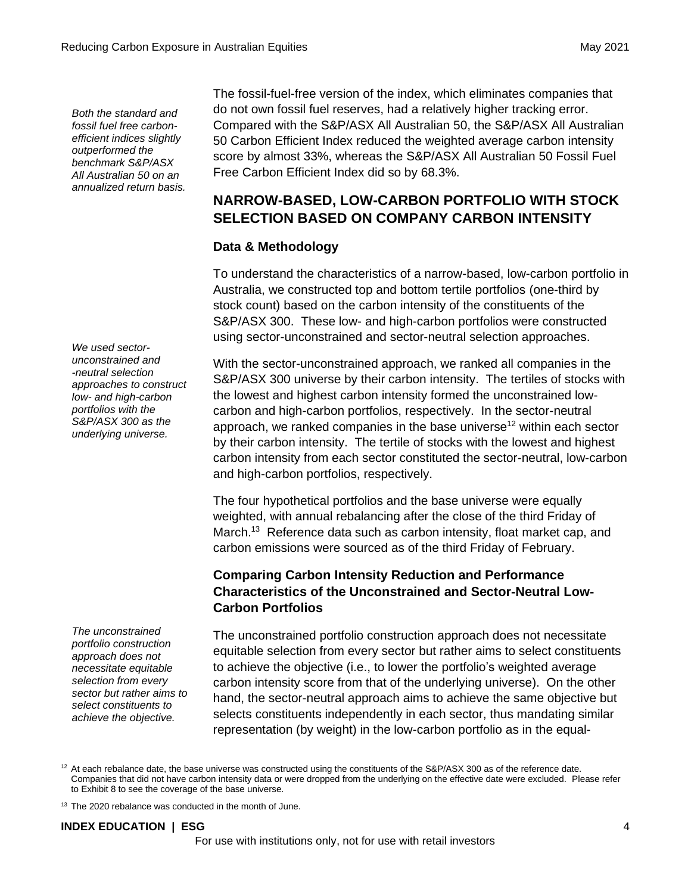*Both the standard and fossil fuel free carbonefficient indices slightly outperformed the benchmark S&P/ASX All Australian 50 on an annualized return basis.* 

*We used sectorunconstrained and -neutral selection approaches to construct low- and high-carbon portfolios with the S&P/ASX 300 as the underlying universe.*

*The unconstrained portfolio construction approach does not necessitate equitable selection from every sector but rather aims to select constituents to achieve the objective.*

The fossil-fuel-free version of the index, which eliminates companies that do not own fossil fuel reserves, had a relatively higher tracking error. Compared with the S&P/ASX All Australian 50, the S&P/ASX All Australian 50 Carbon Efficient Index reduced the weighted average carbon intensity score by almost 33%, whereas the S&P/ASX All Australian 50 Fossil Fuel Free Carbon Efficient Index did so by 68.3%.

# **NARROW-BASED, LOW-CARBON PORTFOLIO WITH STOCK SELECTION BASED ON COMPANY CARBON INTENSITY**

# **Data & Methodology**

To understand the characteristics of a narrow-based, low-carbon portfolio in Australia, we constructed top and bottom tertile portfolios (one-third by stock count) based on the carbon intensity of the constituents of the S&P/ASX 300. These low- and high-carbon portfolios were constructed using sector-unconstrained and sector-neutral selection approaches.

With the sector-unconstrained approach, we ranked all companies in the S&P/ASX 300 universe by their carbon intensity. The tertiles of stocks with the lowest and highest carbon intensity formed the unconstrained lowcarbon and high-carbon portfolios, respectively. In the sector-neutral approach, we ranked companies in the base universe<sup>12</sup> within each sector by their carbon intensity. The tertile of stocks with the lowest and highest carbon intensity from each sector constituted the sector-neutral, low-carbon and high-carbon portfolios, respectively.

The four hypothetical portfolios and the base universe were equally weighted, with annual rebalancing after the close of the third Friday of March.<sup>13</sup> Reference data such as carbon intensity, float market cap, and carbon emissions were sourced as of the third Friday of February.

# **Comparing Carbon Intensity Reduction and Performance Characteristics of the Unconstrained and Sector-Neutral Low-Carbon Portfolios**

The unconstrained portfolio construction approach does not necessitate equitable selection from every sector but rather aims to select constituents to achieve the objective (i.e., to lower the portfolio's weighted average carbon intensity score from that of the underlying universe). On the other hand, the sector-neutral approach aims to achieve the same objective but selects constituents independently in each sector, thus mandating similar representation (by weight) in the low-carbon portfolio as in the equal-

 $12$  At each rebalance date, the base universe was constructed using the constituents of the S&P/ASX 300 as of the reference date. Companies that did not have carbon intensity data or were dropped from the underlying on the effective date were excluded. Please refer to Exhibit 8 to see the coverage of the base universe.

<sup>13</sup> The 2020 rebalance was conducted in the month of June.

# **INDEX EDUCATION | ESG** 4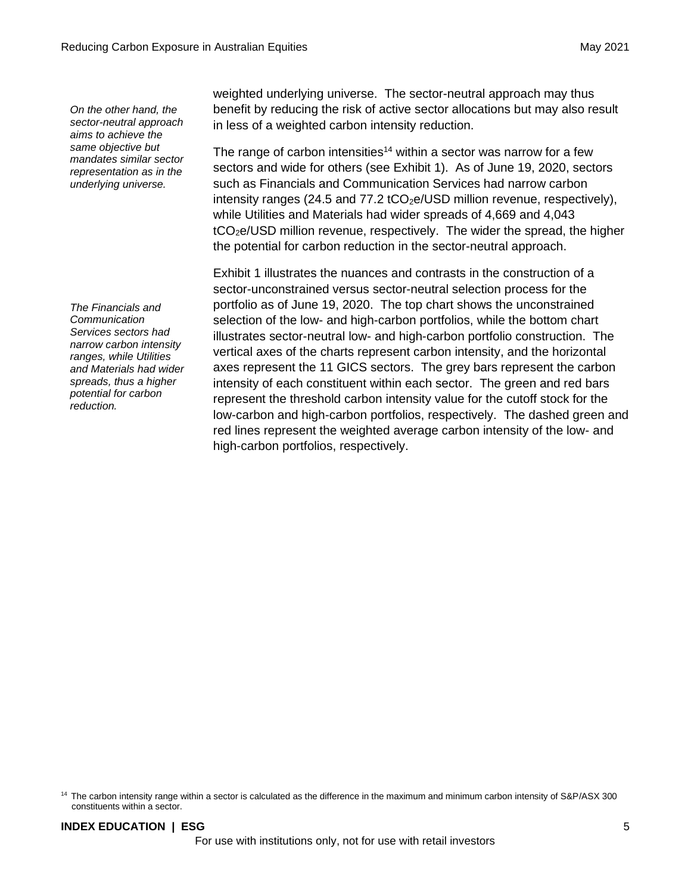*On the other hand, the sector-neutral approach aims to achieve the same objective but mandates similar sector representation as in the underlying universe.*

*The Financials and Communication Services sectors had narrow carbon intensity ranges, while Utilities and Materials had wider spreads, thus a higher potential for carbon reduction.*

weighted underlying universe. The sector-neutral approach may thus benefit by reducing the risk of active sector allocations but may also result in less of a weighted carbon intensity reduction.

The range of carbon intensities<sup>14</sup> within a sector was narrow for a few sectors and wide for others (see Exhibit 1). As of June 19, 2020, sectors such as Financials and Communication Services had narrow carbon intensity ranges (24.5 and 77.2  $tCO<sub>2</sub>e/USD$  million revenue, respectively), while Utilities and Materials had wider spreads of 4,669 and 4,043 tCO2e/USD million revenue, respectively. The wider the spread, the higher the potential for carbon reduction in the sector-neutral approach.

Exhibit 1 illustrates the nuances and contrasts in the construction of a sector-unconstrained versus sector-neutral selection process for the portfolio as of June 19, 2020. The top chart shows the unconstrained selection of the low- and high-carbon portfolios, while the bottom chart illustrates sector-neutral low- and high-carbon portfolio construction. The vertical axes of the charts represent carbon intensity, and the horizontal axes represent the 11 GICS sectors. The grey bars represent the carbon intensity of each constituent within each sector. The green and red bars represent the threshold carbon intensity value for the cutoff stock for the low-carbon and high-carbon portfolios, respectively. The dashed green and red lines represent the weighted average carbon intensity of the low- and high-carbon portfolios, respectively.

<sup>&</sup>lt;sup>14</sup> The carbon intensity range within a sector is calculated as the difference in the maximum and minimum carbon intensity of S&P/ASX 300 constituents within a sector.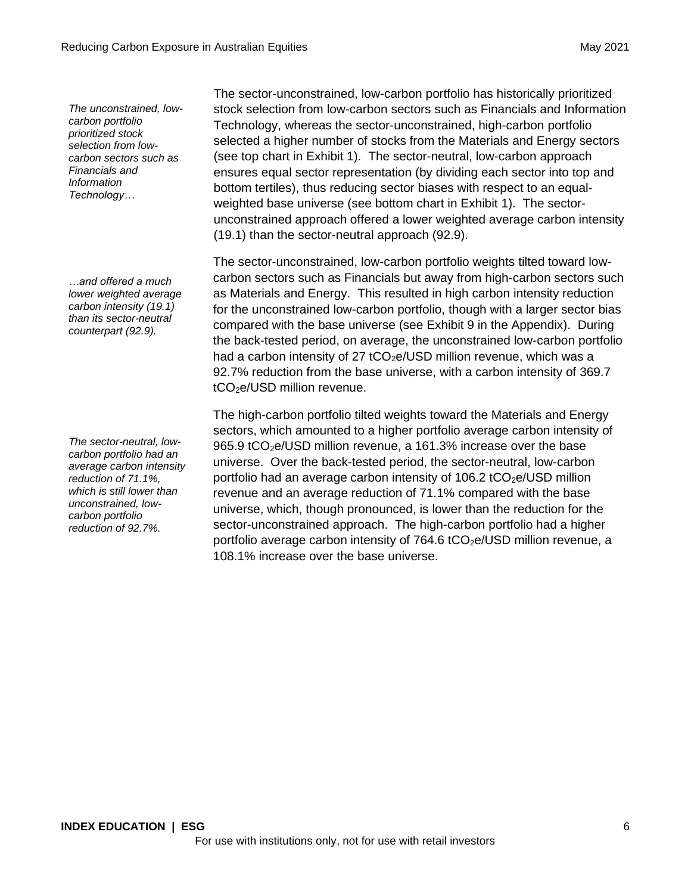*The unconstrained, lowcarbon portfolio prioritized stock selection from lowcarbon sectors such as Financials and Information Technology…*

*…and offered a much lower weighted average carbon intensity (19.1) than its sector-neutral counterpart (92.9).*

*The sector-neutral, lowcarbon portfolio had an average carbon intensity reduction of 71.1%, which is still lower than unconstrained, lowcarbon portfolio reduction of 92.7%.*

**INDEX EDUCATION | ESG** 6 For use with institutions only, not for use with retail investors

The sector-unconstrained, low-carbon portfolio has historically prioritized stock selection from low-carbon sectors such as Financials and Information Technology, whereas the sector-unconstrained, high-carbon portfolio selected a higher number of stocks from the Materials and Energy sectors (see top chart in Exhibit 1). The sector-neutral, low-carbon approach ensures equal sector representation (by dividing each sector into top and bottom tertiles), thus reducing sector biases with respect to an equalweighted base universe (see bottom chart in Exhibit 1). The sectorunconstrained approach offered a lower weighted average carbon intensity (19.1) than the sector-neutral approach (92.9).

The sector-unconstrained, low-carbon portfolio weights tilted toward lowcarbon sectors such as Financials but away from high-carbon sectors such as Materials and Energy. This resulted in high carbon intensity reduction for the unconstrained low-carbon portfolio, though with a larger sector bias compared with the base universe (see Exhibit 9 in the Appendix). During the back-tested period, on average, the unconstrained low-carbon portfolio had a carbon intensity of 27 tCO<sub>2</sub>e/USD million revenue, which was a 92.7% reduction from the base universe, with a carbon intensity of 369.7  $tCO<sub>2</sub>e/USD$  million revenue.

The high-carbon portfolio tilted weights toward the Materials and Energy sectors, which amounted to a higher portfolio average carbon intensity of 965.9 tCO<sub>2</sub>e/USD million revenue, a 161.3% increase over the base universe. Over the back-tested period, the sector-neutral, low-carbon portfolio had an average carbon intensity of  $106.2$  tCO<sub>2</sub>e/USD million revenue and an average reduction of 71.1% compared with the base universe, which, though pronounced, is lower than the reduction for the sector-unconstrained approach. The high-carbon portfolio had a higher portfolio average carbon intensity of  $764.6$  tCO<sub>2</sub>e/USD million revenue, a 108.1% increase over the base universe.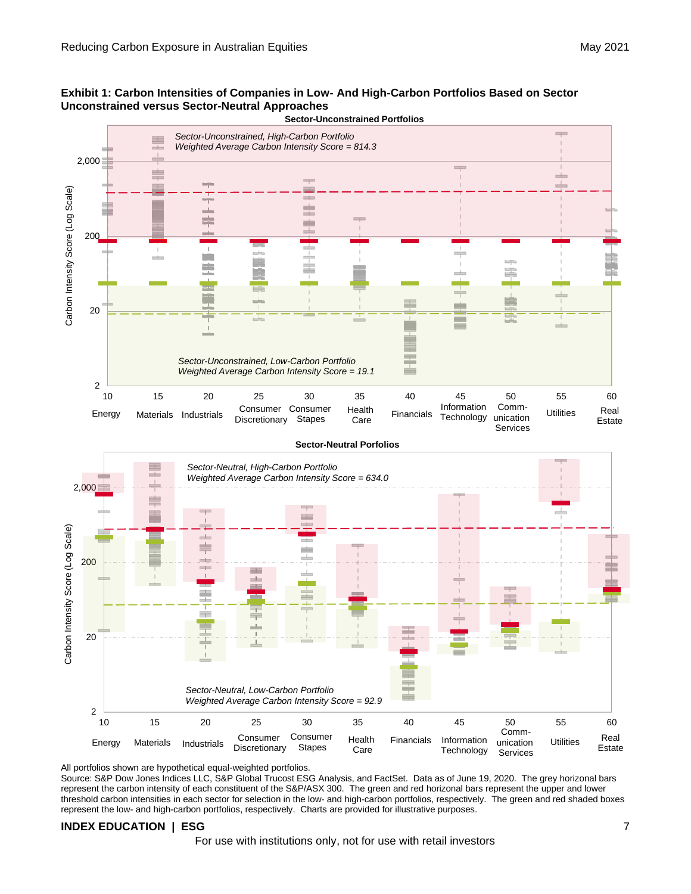







### All portfolios shown are hypothetical equal-weighted portfolios.

Source: S&P Dow Jones Indices LLC, S&P Global Trucost ESG Analysis, and FactSet. Data as of June 19, 2020. The grey horizonal bars represent the carbon intensity of each constituent of the S&P/ASX 300. The green and red horizonal bars represent the upper and lower threshold carbon intensities in each sector for selection in the low- and high-carbon portfolios, respectively. The green and red shaded boxes represent the low- and high-carbon portfolios, respectively. Charts are provided for illustrative purposes.

### **INDEX EDUCATION | ESG** 7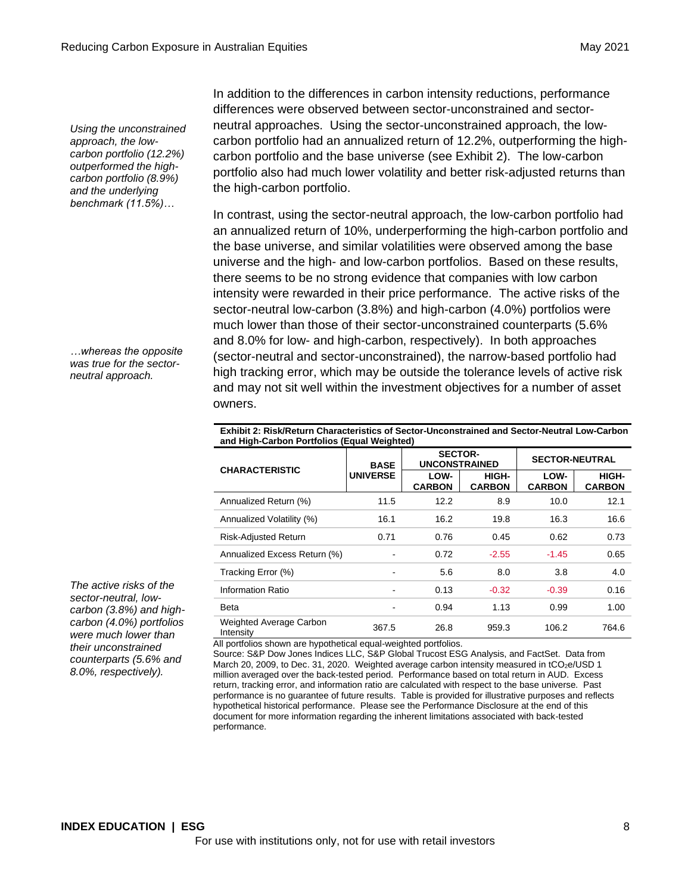*Using the unconstrained approach, the lowcarbon portfolio (12.2%) outperformed the highcarbon portfolio (8.9%) and the underlying benchmark (11.5%)…* 

*…whereas the opposite was true for the sectorneutral approach.* 

*The active risks of the sector-neutral, lowcarbon (3.8%) and highcarbon (4.0%) portfolios were much lower than their unconstrained counterparts (5.6% and 8.0%, respectively).*

In addition to the differences in carbon intensity reductions, performance differences were observed between sector-unconstrained and sectorneutral approaches. Using the sector-unconstrained approach, the lowcarbon portfolio had an annualized return of 12.2%, outperforming the highcarbon portfolio and the base universe (see Exhibit 2). The low-carbon portfolio also had much lower volatility and better risk-adjusted returns than the high-carbon portfolio.

In contrast, using the sector-neutral approach, the low-carbon portfolio had an annualized return of 10%, underperforming the high-carbon portfolio and the base universe, and similar volatilities were observed among the base universe and the high- and low-carbon portfolios. Based on these results, there seems to be no strong evidence that companies with low carbon intensity were rewarded in their price performance. The active risks of the sector-neutral low-carbon (3.8%) and high-carbon (4.0%) portfolios were much lower than those of their sector-unconstrained counterparts (5.6% and 8.0% for low- and high-carbon, respectively). In both approaches (sector-neutral and sector-unconstrained), the narrow-based portfolio had high tracking error, which may be outside the tolerance levels of active risk and may not sit well within the investment objectives for a number of asset owners.

**Exhibit 2: Risk/Return Characteristics of Sector-Unconstrained and Sector-Neutral Low-Carbon and High-Carbon Portfolios (Equal Weighted)**

| <b>CHARACTERISTIC</b>                | <b>BASE</b>     | <b>SECTOR-</b><br><b>UNCONSTRAINED</b> |                        | <b>SECTOR-NEUTRAL</b> |                        |  |
|--------------------------------------|-----------------|----------------------------------------|------------------------|-----------------------|------------------------|--|
|                                      | <b>UNIVERSE</b> | LOW-<br><b>CARBON</b>                  | HIGH-<br><b>CARBON</b> | LOW-<br><b>CARBON</b> | HIGH-<br><b>CARBON</b> |  |
| Annualized Return (%)                | 11.5            | 12.2                                   | 8.9                    | 10.0                  | 12.1                   |  |
| Annualized Volatility (%)            | 16.1            | 16.2                                   | 19.8                   | 16.3                  | 16.6                   |  |
| Risk-Adjusted Return                 | 0.71            | 0.76                                   | 0.45                   | 0.62                  | 0.73                   |  |
| Annualized Excess Return (%)         |                 | 0.72                                   | $-2.55$                | $-1.45$               | 0.65                   |  |
| Tracking Error (%)                   |                 | 5.6                                    | 8.0                    | 3.8                   | 4.0                    |  |
| Information Ratio                    |                 | 0.13                                   | $-0.32$                | $-0.39$               | 0.16                   |  |
| Beta                                 |                 | 0.94                                   | 1.13                   | 0.99                  | 1.00                   |  |
| Weighted Average Carbon<br>Intensity | 367.5           | 26.8                                   | 959.3                  | 106.2                 | 764.6                  |  |

All portfolios shown are hypothetical equal-weighted portfolios.

Source: S&P Dow Jones Indices LLC, S&P Global Trucost ESG Analysis, and FactSet. Data from March 20, 2009, to Dec. 31, 2020. Weighted average carbon intensity measured in tCO<sub>2</sub>e/USD 1 million averaged over the back-tested period. Performance based on total return in AUD. Excess return, tracking error, and information ratio are calculated with respect to the base universe. Past performance is no guarantee of future results. Table is provided for illustrative purposes and reflects hypothetical historical performance. Please see the Performance Disclosure at the end of this document for more information regarding the inherent limitations associated with back-tested performance.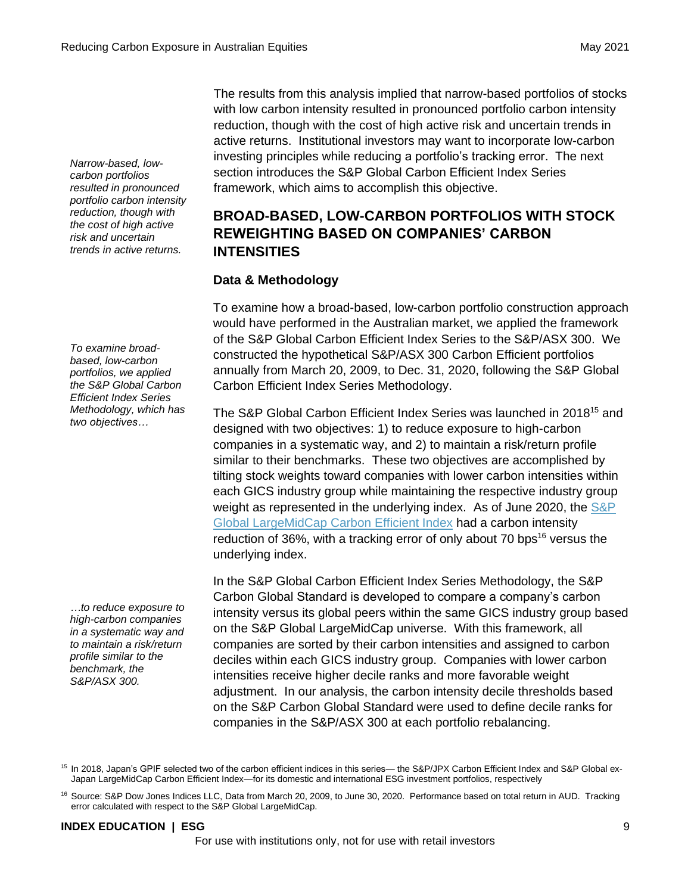*Narrow-based, lowcarbon portfolios resulted in pronounced portfolio carbon intensity reduction, though with the cost of high active risk and uncertain trends in active returns.*

*To examine broadbased, low-carbon portfolios, we applied the S&P Global Carbon Efficient Index Series Methodology, which has two objectives…*

*…to reduce exposure to high-carbon companies in a systematic way and to maintain a risk/return profile similar to the benchmark, the S&P/ASX 300.*

The results from this analysis implied that narrow-based portfolios of stocks with low carbon intensity resulted in pronounced portfolio carbon intensity reduction, though with the cost of high active risk and uncertain trends in active returns. Institutional investors may want to incorporate low-carbon investing principles while reducing a portfolio's tracking error. The next section introduces the S&P Global Carbon Efficient Index Series framework, which aims to accomplish this objective.

# **BROAD-BASED, LOW-CARBON PORTFOLIOS WITH STOCK REWEIGHTING BASED ON COMPANIES' CARBON INTENSITIES**

# **Data & Methodology**

To examine how a broad-based, low-carbon portfolio construction approach would have performed in the Australian market, we applied the framework of the S&P Global Carbon Efficient Index Series to the S&P/ASX 300. We constructed the hypothetical S&P/ASX 300 Carbon Efficient portfolios annually from March 20, 2009, to Dec. 31, 2020, following the S&P Global Carbon Efficient Index Series Methodology.

The S&P Global Carbon Efficient Index Series was launched in 2018<sup>15</sup> and designed with two objectives: 1) to reduce exposure to high-carbon companies in a systematic way, and 2) to maintain a risk/return profile similar to their benchmarks. These two objectives are accomplished by tilting stock weights toward companies with lower carbon intensities within each GICS industry group while maintaining the respective industry group weight as represented in the underlying index. As of June 2020, the S&P [Global LargeMidCap Carbon Efficient Index](https://www.spglobal.com/spdji/en/indices/esg/sp-global-largemidcap-carbon-efficient-index/#overview) had a carbon intensity reduction of 36%, with a tracking error of only about 70 bps<sup>16</sup> versus the underlying index.

In the S&P Global Carbon Efficient Index Series Methodology, the S&P Carbon Global Standard is developed to compare a company's carbon intensity versus its global peers within the same GICS industry group based on the S&P Global LargeMidCap universe. With this framework, all companies are sorted by their carbon intensities and assigned to carbon deciles within each GICS industry group. Companies with lower carbon intensities receive higher decile ranks and more favorable weight adjustment. In our analysis, the carbon intensity decile thresholds based on the S&P Carbon Global Standard were used to define decile ranks for companies in the S&P/ASX 300 at each portfolio rebalancing.

<sup>15</sup> In 2018, Japan's GPIF selected two of the carbon efficient indices in this series— the S&P/JPX Carbon Efficient Index and S&P Global ex-Japan LargeMidCap Carbon Efficient Index—for its domestic and international ESG investment portfolios, respectively

<sup>16</sup> Source: S&P Dow Jones Indices LLC, Data from March 20, 2009, to June 30, 2020. Performance based on total return in AUD. Tracking error calculated with respect to the S&P Global LargeMidCap.

### **INDEX EDUCATION | ESG** 9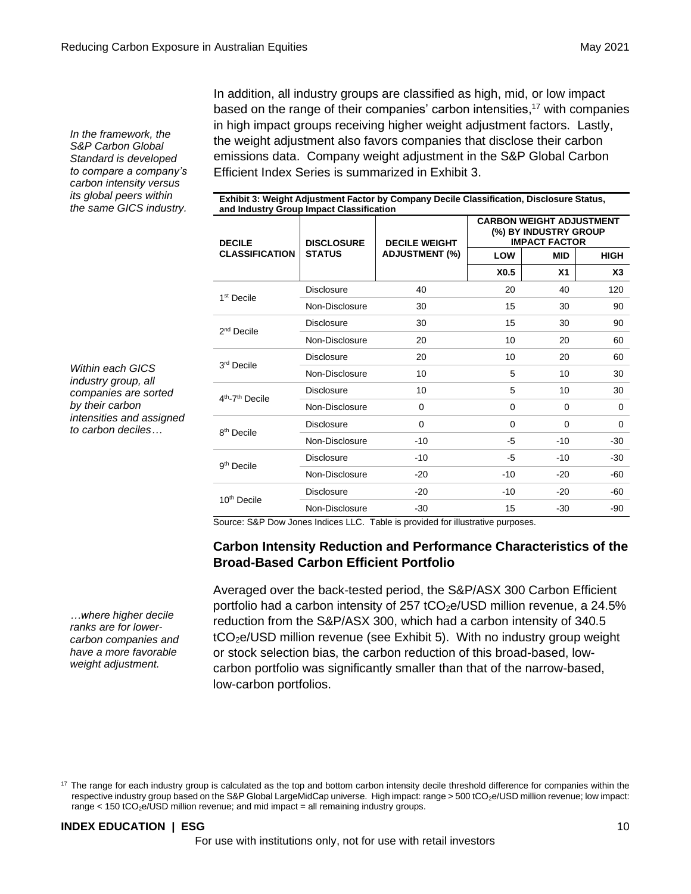*In the framework, the S&P Carbon Global Standard is developed to compare a company's carbon intensity versus its global peers within the same GICS industry.* In addition, all industry groups are classified as high, mid, or low impact based on the range of their companies' carbon intensities,<sup>17</sup> with companies in high impact groups receiving higher weight adjustment factors. Lastly, the weight adjustment also favors companies that disclose their carbon emissions data. Company weight adjustment in the S&P Global Carbon Efficient Index Series is summarized in Exhibit 3.

**Exhibit 3: Weight Adjustment Factor by Company Decile Classification, Disclosure Status,** 

| <b>DECILE</b>                           | <b>DISCLOSURE</b> | <b>DECILE WEIGHT</b>  | <b>CARBON WEIGHT ADJUSTMENT</b><br>(%) BY INDUSTRY GROUP<br><b>IMPACT FACTOR</b> |                |             |  |
|-----------------------------------------|-------------------|-----------------------|----------------------------------------------------------------------------------|----------------|-------------|--|
| <b>CLASSIFICATION</b>                   | <b>STATUS</b>     | <b>ADJUSTMENT (%)</b> | LOW                                                                              | <b>MID</b>     | <b>HIGH</b> |  |
|                                         |                   |                       | X <sub>0.5</sub>                                                                 | X <sub>1</sub> | X3          |  |
| 1 <sup>st</sup> Decile                  | Disclosure        | 40                    | 20                                                                               | 40             | 120         |  |
|                                         | Non-Disclosure    | 30                    | 15                                                                               | 30             | 90          |  |
| $2nd$ Decile                            | <b>Disclosure</b> | 30                    | 15                                                                               | 30             | 90          |  |
|                                         | Non-Disclosure    | 20                    | 10                                                                               | 20             | 60          |  |
| 3 <sup>rd</sup> Decile                  | Disclosure        | 20                    | 10                                                                               | 20             | 60          |  |
|                                         | Non-Disclosure    | 10                    | 5                                                                                | 10             | 30          |  |
| 4 <sup>th</sup> -7 <sup>th</sup> Decile | Disclosure        | 10                    | 5                                                                                | 10             | 30          |  |
|                                         | Non-Disclosure    | 0                     | 0                                                                                | 0              | 0           |  |
| 8 <sup>th</sup> Decile                  | Disclosure        | $\Omega$              | $\Omega$                                                                         | $\Omega$       | $\Omega$    |  |
|                                         | Non-Disclosure    | $-10$                 | -5                                                                               | $-10$          | -30         |  |
|                                         | <b>Disclosure</b> | $-10$                 | -5                                                                               | $-10$          | -30         |  |
| 9 <sup>th</sup> Decile                  | Non-Disclosure    | $-20$                 | $-10$                                                                            | $-20$          | -60         |  |
| 10 <sup>th</sup> Decile                 | <b>Disclosure</b> | $-20$                 | $-10$                                                                            | $-20$          | -60         |  |
|                                         | Non-Disclosure    | $-30$                 | 15                                                                               | $-30$          | -90         |  |

Source: S&P Dow Jones Indices LLC. Table is provided for illustrative purposes.

### **Carbon Intensity Reduction and Performance Characteristics of the Broad-Based Carbon Efficient Portfolio**

Averaged over the back-tested period, the S&P/ASX 300 Carbon Efficient portfolio had a carbon intensity of 257 tCO<sub>2</sub>e/USD million revenue, a 24.5% reduction from the S&P/ASX 300, which had a carbon intensity of 340.5  $tCO<sub>2</sub>e/USD$  million revenue (see Exhibit 5). With no industry group weight or stock selection bias, the carbon reduction of this broad-based, lowcarbon portfolio was significantly smaller than that of the narrow-based, low-carbon portfolios.

### **INDEX EDUCATION | ESG** 10

*intensities and assigned to carbon deciles…* 

*Within each GICS industry group, all companies are sorted by their carbon* 

*…where higher decile ranks are for lowercarbon companies and have a more favorable weight adjustment.*

<sup>&</sup>lt;sup>17</sup> The range for each industry group is calculated as the top and bottom carbon intensity decile threshold difference for companies within the respective industry group based on the S&P Global LargeMidCap universe. High impact: range > 500 tCO2e/USD million revenue; low impact: range  $<$  150 tCO<sub>2</sub>e/USD million revenue; and mid impact = all remaining industry groups.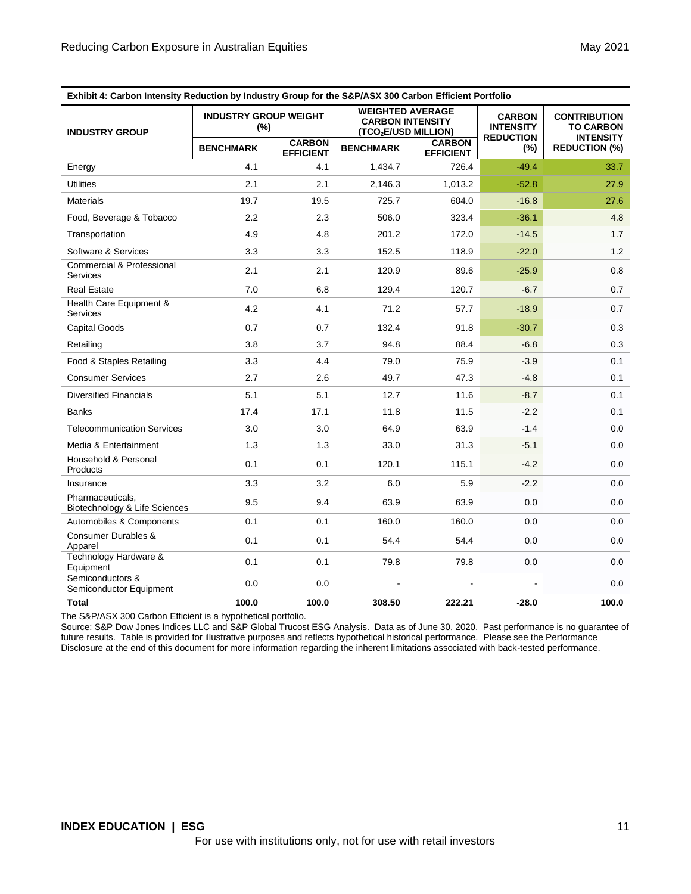| Exhibit 4: Carbon Intensity Reduction by Industry Group for the S&P/ASX 300 Carbon Efficient Portfolio |                                        |                                   |                                                                           |                                   |                                                       |                                                             |
|--------------------------------------------------------------------------------------------------------|----------------------------------------|-----------------------------------|---------------------------------------------------------------------------|-----------------------------------|-------------------------------------------------------|-------------------------------------------------------------|
| <b>INDUSTRY GROUP</b>                                                                                  | <b>INDUSTRY GROUP WEIGHT</b><br>$(\%)$ |                                   | <b>WEIGHTED AVERAGE</b><br><b>CARBON INTENSITY</b><br>(TCO2E/USD MILLION) |                                   | <b>CARBON</b><br><b>INTENSITY</b><br><b>REDUCTION</b> | <b>CONTRIBUTION</b><br><b>TO CARBON</b><br><b>INTENSITY</b> |
|                                                                                                        | <b>BENCHMARK</b>                       | <b>CARBON</b><br><b>EFFICIENT</b> | <b>BENCHMARK</b>                                                          | <b>CARBON</b><br><b>EFFICIENT</b> | $(\%)$                                                | <b>REDUCTION (%)</b>                                        |
| Energy                                                                                                 | 4.1                                    | 4.1                               | 1,434.7                                                                   | 726.4                             | $-49.4$                                               | 33.7                                                        |
| <b>Utilities</b>                                                                                       | 2.1                                    | 2.1                               | 2,146.3                                                                   | 1,013.2                           | $-52.8$                                               | 27.9                                                        |
| Materials                                                                                              | 19.7                                   | 19.5                              | 725.7                                                                     | 604.0                             | $-16.8$                                               | 27.6                                                        |
| Food, Beverage & Tobacco                                                                               | 2.2                                    | 2.3                               | 506.0                                                                     | 323.4                             | $-36.1$                                               | 4.8                                                         |
| Transportation                                                                                         | 4.9                                    | 4.8                               | 201.2                                                                     | 172.0                             | $-14.5$                                               | 1.7                                                         |
| Software & Services                                                                                    | 3.3                                    | 3.3                               | 152.5                                                                     | 118.9                             | $-22.0$                                               | 1.2                                                         |
| Commercial & Professional<br><b>Services</b>                                                           | 2.1                                    | 2.1                               | 120.9                                                                     | 89.6                              | $-25.9$                                               | 0.8                                                         |
| <b>Real Estate</b>                                                                                     | 7.0                                    | 6.8                               | 129.4                                                                     | 120.7                             | $-6.7$                                                | 0.7                                                         |
| Health Care Equipment &<br><b>Services</b>                                                             | 4.2                                    | 4.1                               | 71.2                                                                      | 57.7                              | $-18.9$                                               | 0.7                                                         |
| <b>Capital Goods</b>                                                                                   | 0.7                                    | 0.7                               | 132.4                                                                     | 91.8                              | $-30.7$                                               | 0.3                                                         |
| Retailing                                                                                              | 3.8                                    | 3.7                               | 94.8                                                                      | 88.4                              | $-6.8$                                                | 0.3                                                         |
| Food & Staples Retailing                                                                               | 3.3                                    | 4.4                               | 79.0                                                                      | 75.9                              | $-3.9$                                                | 0.1                                                         |
| <b>Consumer Services</b>                                                                               | 2.7                                    | 2.6                               | 49.7                                                                      | 47.3                              | $-4.8$                                                | 0.1                                                         |
| <b>Diversified Financials</b>                                                                          | 5.1                                    | 5.1                               | 12.7                                                                      | 11.6                              | $-8.7$                                                | 0.1                                                         |
| <b>Banks</b>                                                                                           | 17.4                                   | 17.1                              | 11.8                                                                      | 11.5                              | $-2.2$                                                | 0.1                                                         |
| <b>Telecommunication Services</b>                                                                      | 3.0                                    | 3.0                               | 64.9                                                                      | 63.9                              | $-1.4$                                                | 0.0                                                         |
| Media & Entertainment                                                                                  | 1.3                                    | 1.3                               | 33.0                                                                      | 31.3                              | $-5.1$                                                | 0.0                                                         |
| Household & Personal<br>Products                                                                       | 0.1                                    | 0.1                               | 120.1                                                                     | 115.1                             | $-4.2$                                                | 0.0                                                         |
| Insurance                                                                                              | 3.3                                    | 3.2                               | 6.0                                                                       | 5.9                               | $-2.2$                                                | 0.0                                                         |
| Pharmaceuticals,<br>Biotechnology & Life Sciences                                                      | 9.5                                    | 9.4                               | 63.9                                                                      | 63.9                              | 0.0                                                   | 0.0                                                         |
| Automobiles & Components                                                                               | 0.1                                    | 0.1                               | 160.0                                                                     | 160.0                             | 0.0                                                   | 0.0                                                         |
| Consumer Durables &<br>Apparel                                                                         | 0.1                                    | 0.1                               | 54.4                                                                      | 54.4                              | 0.0                                                   | 0.0                                                         |
| Technology Hardware &<br>Equipment                                                                     | 0.1                                    | 0.1                               | 79.8                                                                      | 79.8                              | 0.0                                                   | 0.0                                                         |
| Semiconductors &<br>Semiconductor Equipment                                                            | 0.0                                    | 0.0                               |                                                                           |                                   |                                                       | 0.0                                                         |
| Total                                                                                                  | 100.0                                  | 100.0                             | 308.50                                                                    | 222.21                            | $-28.0$                                               | 100.0                                                       |

The S&P/ASX 300 Carbon Efficient is a hypothetical portfolio.

Source: S&P Dow Jones Indices LLC and S&P Global Trucost ESG Analysis. Data as of June 30, 2020. Past performance is no guarantee of future results. Table is provided for illustrative purposes and reflects hypothetical historical performance. Please see the Performance Disclosure at the end of this document for more information regarding the inherent limitations associated with back-tested performance.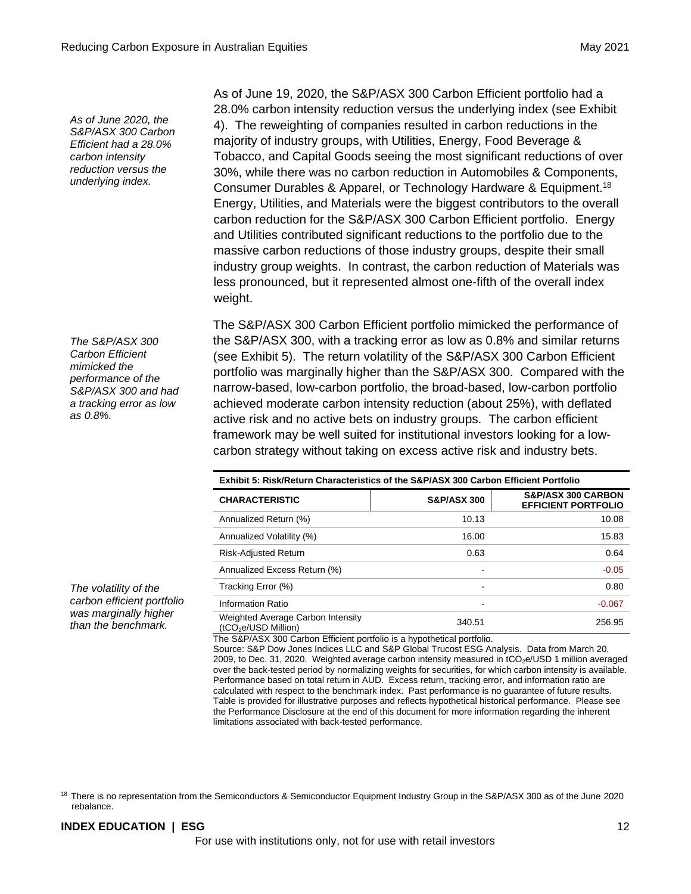*As of June 2020, the S&P/ASX 300 Carbon Efficient had a 28.0% carbon intensity reduction versus the underlying index.*

*The S&P/ASX 300 Carbon Efficient mimicked the performance of the S&P/ASX 300 and had a tracking error as low as 0.8%.* 

*The volatility of the carbon efficient portfolio was marginally higher than the benchmark.* 

As of June 19, 2020, the S&P/ASX 300 Carbon Efficient portfolio had a 28.0% carbon intensity reduction versus the underlying index (see Exhibit 4). The reweighting of companies resulted in carbon reductions in the majority of industry groups, with Utilities, Energy, Food Beverage & Tobacco, and Capital Goods seeing the most significant reductions of over 30%, while there was no carbon reduction in Automobiles & Components, Consumer Durables & Apparel, or Technology Hardware & Equipment.<sup>18</sup> Energy, Utilities, and Materials were the biggest contributors to the overall carbon reduction for the S&P/ASX 300 Carbon Efficient portfolio. Energy and Utilities contributed significant reductions to the portfolio due to the massive carbon reductions of those industry groups, despite their small industry group weights. In contrast, the carbon reduction of Materials was less pronounced, but it represented almost one-fifth of the overall index weight.

The S&P/ASX 300 Carbon Efficient portfolio mimicked the performance of the S&P/ASX 300, with a tracking error as low as 0.8% and similar returns (see Exhibit 5). The return volatility of the S&P/ASX 300 Carbon Efficient portfolio was marginally higher than the S&P/ASX 300. Compared with the narrow-based, low-carbon portfolio, the broad-based, low-carbon portfolio achieved moderate carbon intensity reduction (about 25%), with deflated active risk and no active bets on industry groups. The carbon efficient framework may be well suited for institutional investors looking for a lowcarbon strategy without taking on excess active risk and industry bets.

| Exhibit 5: Risk/Return Characteristics of the S&P/ASX 300 Carbon Efficient Portfolio |                        |                                                             |  |  |
|--------------------------------------------------------------------------------------|------------------------|-------------------------------------------------------------|--|--|
| <b>CHARACTERISTIC</b>                                                                | <b>S&amp;P/ASX 300</b> | <b>S&amp;P/ASX 300 CARBON</b><br><b>EFFICIENT PORTFOLIO</b> |  |  |
| Annualized Return (%)                                                                | 10.13                  | 10.08                                                       |  |  |
| Annualized Volatility (%)                                                            | 16.00                  | 15.83                                                       |  |  |
| Risk-Adjusted Return                                                                 | 0.63                   | 0.64                                                        |  |  |
| Annualized Excess Return (%)                                                         | -                      | $-0.05$                                                     |  |  |
| Tracking Error (%)                                                                   | ۰                      | 0.80                                                        |  |  |
| Information Ratio                                                                    |                        | $-0.067$                                                    |  |  |
| Weighted Average Carbon Intensity<br>(tCO <sub>2</sub> e/USD Million)                | 340.51                 | 256.95                                                      |  |  |

The S&P/ASX 300 Carbon Efficient portfolio is a hypothetical portfolio.

Source: S&P Dow Jones Indices LLC and S&P Global Trucost ESG Analysis. Data from March 20, 2009, to Dec. 31, 2020. Weighted average carbon intensity measured in tCO<sub>2</sub>e/USD 1 million averaged over the back-tested period by normalizing weights for securities, for which carbon intensity is available. Performance based on total return in AUD. Excess return, tracking error, and information ratio are calculated with respect to the benchmark index. Past performance is no guarantee of future results. Table is provided for illustrative purposes and reflects hypothetical historical performance. Please see the Performance Disclosure at the end of this document for more information regarding the inherent limitations associated with back-tested performance.

### **INDEX EDUCATION | ESG** 12

<sup>&</sup>lt;sup>18</sup> There is no representation from the Semiconductors & Semiconductor Equipment Industry Group in the S&P/ASX 300 as of the June 2020 rebalance.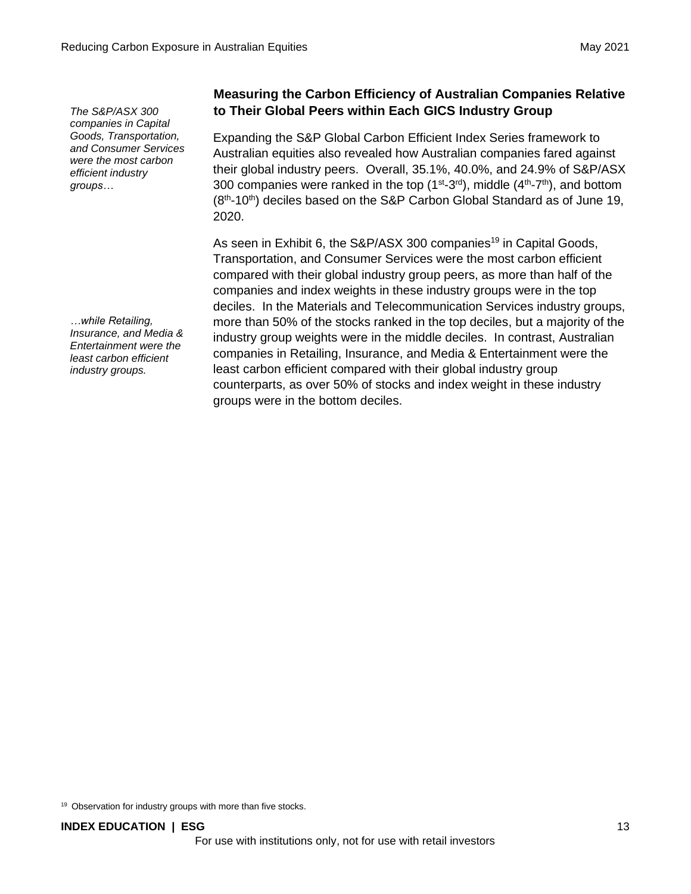*The S&P/ASX 300 companies in Capital Goods, Transportation, and Consumer Services were the most carbon efficient industry groups…*

*…while Retailing, Insurance, and Media & Entertainment were the least carbon efficient industry groups.* 

# **Measuring the Carbon Efficiency of Australian Companies Relative to Their Global Peers within Each GICS Industry Group**

Expanding the S&P Global Carbon Efficient Index Series framework to Australian equities also revealed how Australian companies fared against their global industry peers. Overall, 35.1%, 40.0%, and 24.9% of S&P/ASX 300 companies were ranked in the top  $(1^{st}$ -3<sup>rd</sup>), middle  $(4^{th}$ -7<sup>th</sup>), and bottom (8<sup>th</sup>-10<sup>th</sup>) deciles based on the S&P Carbon Global Standard as of June 19, 2020.

As seen in Exhibit 6, the S&P/ASX 300 companies<sup>19</sup> in Capital Goods, Transportation, and Consumer Services were the most carbon efficient compared with their global industry group peers, as more than half of the companies and index weights in these industry groups were in the top deciles. In the Materials and Telecommunication Services industry groups, more than 50% of the stocks ranked in the top deciles, but a majority of the industry group weights were in the middle deciles. In contrast, Australian companies in Retailing, Insurance, and Media & Entertainment were the least carbon efficient compared with their global industry group counterparts, as over 50% of stocks and index weight in these industry groups were in the bottom deciles.

<sup>19</sup> Observation for industry groups with more than five stocks.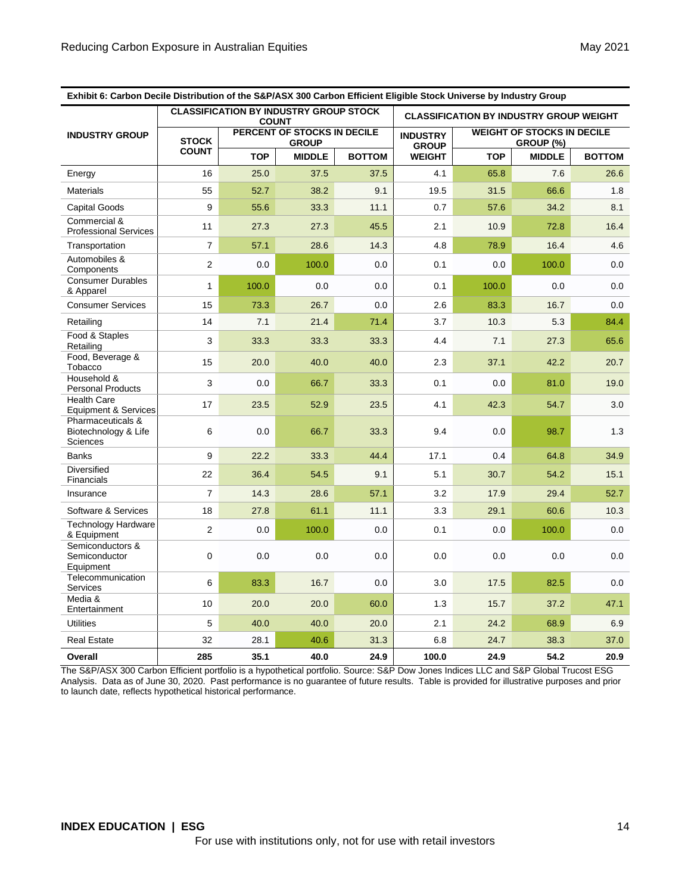| Exhibit 6: Carbon Decile Distribution of the S&P/ASX 300 Carbon Efficient Eligible Stock Universe by Industry Group |                |                                                               |               |                                 |                                                |            |               |               |
|---------------------------------------------------------------------------------------------------------------------|----------------|---------------------------------------------------------------|---------------|---------------------------------|------------------------------------------------|------------|---------------|---------------|
|                                                                                                                     |                | <b>CLASSIFICATION BY INDUSTRY GROUP STOCK</b><br><b>COUNT</b> |               |                                 | <b>CLASSIFICATION BY INDUSTRY GROUP WEIGHT</b> |            |               |               |
| <b>INDUSTRY GROUP</b>                                                                                               | <b>STOCK</b>   | PERCENT OF STOCKS IN DECILE<br><b>GROUP</b>                   |               | <b>INDUSTRY</b><br><b>GROUP</b> | <b>WEIGHT OF STOCKS IN DECILE</b><br>GROUP (%) |            |               |               |
|                                                                                                                     | <b>COUNT</b>   | <b>TOP</b>                                                    | <b>MIDDLE</b> | <b>BOTTOM</b>                   | <b>WEIGHT</b>                                  | <b>TOP</b> | <b>MIDDLE</b> | <b>BOTTOM</b> |
| Energy                                                                                                              | 16             | 25.0                                                          | 37.5          | 37.5                            | 4.1                                            | 65.8       | 7.6           | 26.6          |
| <b>Materials</b>                                                                                                    | 55             | 52.7                                                          | 38.2          | 9.1                             | 19.5                                           | 31.5       | 66.6          | 1.8           |
| <b>Capital Goods</b>                                                                                                | 9              | 55.6                                                          | 33.3          | 11.1                            | 0.7                                            | 57.6       | 34.2          | 8.1           |
| Commercial &<br><b>Professional Services</b>                                                                        | 11             | 27.3                                                          | 27.3          | 45.5                            | 2.1                                            | 10.9       | 72.8          | 16.4          |
| Transportation                                                                                                      | $\overline{7}$ | 57.1                                                          | 28.6          | 14.3                            | 4.8                                            | 78.9       | 16.4          | 4.6           |
| Automobiles &<br>Components                                                                                         | $\overline{2}$ | 0.0                                                           | 100.0         | 0.0                             | 0.1                                            | 0.0        | 100.0         | 0.0           |
| <b>Consumer Durables</b><br>& Apparel                                                                               | $\mathbf{1}$   | 100.0                                                         | 0.0           | 0.0                             | 0.1                                            | 100.0      | 0.0           | 0.0           |
| <b>Consumer Services</b>                                                                                            | 15             | 73.3                                                          | 26.7          | 0.0                             | 2.6                                            | 83.3       | 16.7          | 0.0           |
| Retailing                                                                                                           | 14             | 7.1                                                           | 21.4          | 71.4                            | 3.7                                            | 10.3       | 5.3           | 84.4          |
| Food & Staples<br>Retailing                                                                                         | 3              | 33.3                                                          | 33.3          | 33.3                            | 4.4                                            | 7.1        | 27.3          | 65.6          |
| Food, Beverage &<br>Tobacco                                                                                         | 15             | 20.0                                                          | 40.0          | 40.0                            | 2.3                                            | 37.1       | 42.2          | 20.7          |
| Household &<br><b>Personal Products</b>                                                                             | 3              | 0.0                                                           | 66.7          | 33.3                            | 0.1                                            | 0.0        | 81.0          | 19.0          |
| <b>Health Care</b><br>Equipment & Services                                                                          | 17             | 23.5                                                          | 52.9          | 23.5                            | 4.1                                            | 42.3       | 54.7          | 3.0           |
| Pharmaceuticals &<br>Biotechnology & Life<br>Sciences                                                               | 6              | 0.0                                                           | 66.7          | 33.3                            | 9.4                                            | 0.0        | 98.7          | 1.3           |
| <b>Banks</b>                                                                                                        | 9              | 22.2                                                          | 33.3          | 44.4                            | 17.1                                           | 0.4        | 64.8          | 34.9          |
| <b>Diversified</b><br>Financials                                                                                    | 22             | 36.4                                                          | 54.5          | 9.1                             | 5.1                                            | 30.7       | 54.2          | 15.1          |
| Insurance                                                                                                           | $\overline{7}$ | 14.3                                                          | 28.6          | 57.1                            | 3.2                                            | 17.9       | 29.4          | 52.7          |
| Software & Services                                                                                                 | 18             | 27.8                                                          | 61.1          | 11.1                            | 3.3                                            | 29.1       | 60.6          | 10.3          |
| <b>Technology Hardware</b><br>& Equipment                                                                           | $\overline{2}$ | 0.0                                                           | 100.0         | 0.0                             | 0.1                                            | 0.0        | 100.0         | 0.0           |
| Semiconductors &<br>Semiconductor<br>Equipment                                                                      | $\mathbf 0$    | 0.0                                                           | 0.0           | 0.0                             | 0.0                                            | 0.0        | 0.0           | 0.0           |
| Telecommunication<br><b>Services</b>                                                                                | 6              | 83.3                                                          | 16.7          | 0.0                             | 3.0                                            | 17.5       | 82.5          | 0.0           |
| Media &<br>Entertainment                                                                                            | 10             | 20.0                                                          | 20.0          | 60.0                            | 1.3                                            | 15.7       | 37.2          | 47.1          |
| <b>Utilities</b>                                                                                                    | 5              | 40.0                                                          | 40.0          | 20.0                            | 2.1                                            | 24.2       | 68.9          | 6.9           |
| <b>Real Estate</b>                                                                                                  | 32             | 28.1                                                          | 40.6          | 31.3                            | 6.8                                            | 24.7       | 38.3          | 37.0          |
| Overall                                                                                                             | 285            | 35.1                                                          | 40.0          | 24.9                            | 100.0                                          | 24.9       | 54.2          | 20.9          |

The S&P/ASX 300 Carbon Efficient portfolio is a hypothetical portfolio. Source: S&P Dow Jones Indices LLC and S&P Global Trucost ESG Analysis. Data as of June 30, 2020. Past performance is no guarantee of future results. Table is provided for illustrative purposes and prior to launch date, reflects hypothetical historical performance.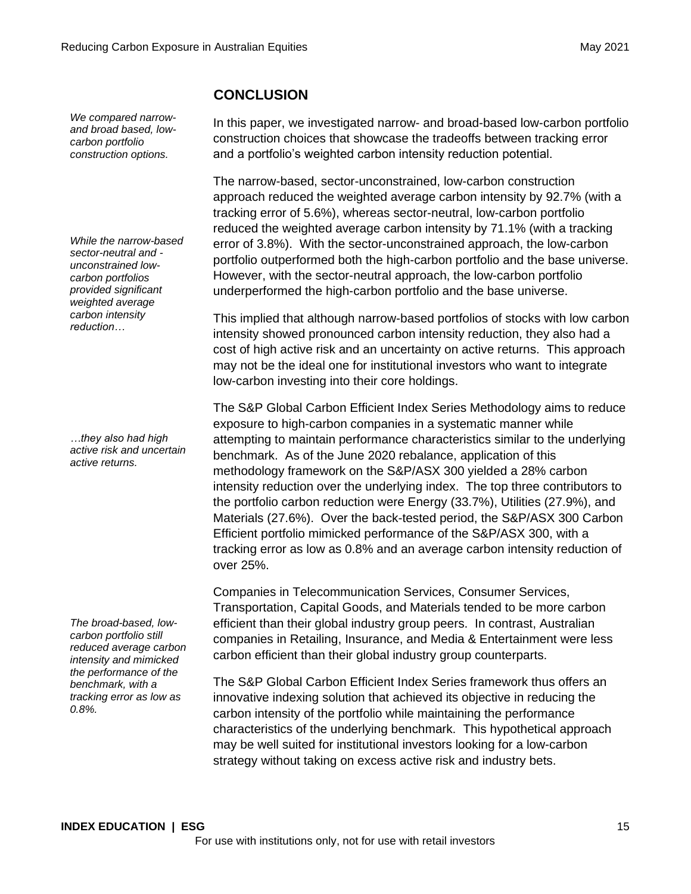*We compared narrowand broad based, lowcarbon portfolio construction options.* 

*While the narrow-based sector-neutral and unconstrained lowcarbon portfolios provided significant weighted average carbon intensity reduction…* 

*…they also had high active risk and uncertain active returns.* 

*The broad-based, lowcarbon portfolio still reduced average carbon intensity and mimicked the performance of the benchmark, with a tracking error as low as 0.8%.*

# **CONCLUSION**

In this paper, we investigated narrow- and broad-based low-carbon portfolio construction choices that showcase the tradeoffs between tracking error and a portfolio's weighted carbon intensity reduction potential.

The narrow-based, sector-unconstrained, low-carbon construction approach reduced the weighted average carbon intensity by 92.7% (with a tracking error of 5.6%), whereas sector-neutral, low-carbon portfolio reduced the weighted average carbon intensity by 71.1% (with a tracking error of 3.8%). With the sector-unconstrained approach, the low-carbon portfolio outperformed both the high-carbon portfolio and the base universe. However, with the sector-neutral approach, the low-carbon portfolio underperformed the high-carbon portfolio and the base universe.

This implied that although narrow-based portfolios of stocks with low carbon intensity showed pronounced carbon intensity reduction, they also had a cost of high active risk and an uncertainty on active returns. This approach may not be the ideal one for institutional investors who want to integrate low-carbon investing into their core holdings.

The S&P Global Carbon Efficient Index Series Methodology aims to reduce exposure to high-carbon companies in a systematic manner while attempting to maintain performance characteristics similar to the underlying benchmark. As of the June 2020 rebalance, application of this methodology framework on the S&P/ASX 300 yielded a 28% carbon intensity reduction over the underlying index. The top three contributors to the portfolio carbon reduction were Energy (33.7%), Utilities (27.9%), and Materials (27.6%). Over the back-tested period, the S&P/ASX 300 Carbon Efficient portfolio mimicked performance of the S&P/ASX 300, with a tracking error as low as 0.8% and an average carbon intensity reduction of over 25%.

Companies in Telecommunication Services, Consumer Services, Transportation, Capital Goods, and Materials tended to be more carbon efficient than their global industry group peers. In contrast, Australian companies in Retailing, Insurance, and Media & Entertainment were less carbon efficient than their global industry group counterparts.

The S&P Global Carbon Efficient Index Series framework thus offers an innovative indexing solution that achieved its objective in reducing the carbon intensity of the portfolio while maintaining the performance characteristics of the underlying benchmark. This hypothetical approach may be well suited for institutional investors looking for a low-carbon strategy without taking on excess active risk and industry bets.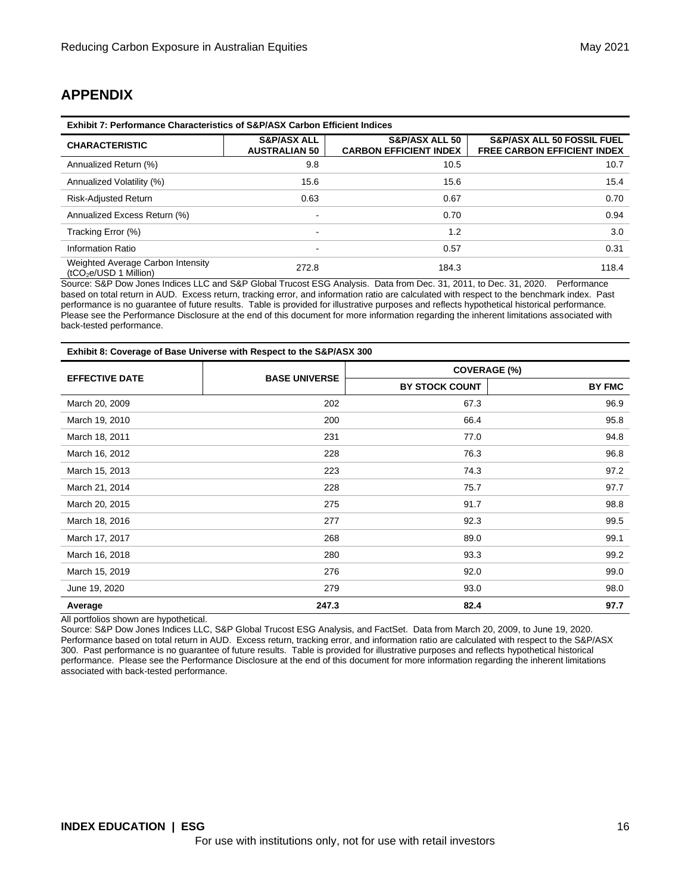# **APPENDIX**

| <b>Exhibit 7: Performance Characteristics of S&amp;P/ASX Carbon Efficient Indices</b> |                                                |                                                            |                                                                             |  |  |
|---------------------------------------------------------------------------------------|------------------------------------------------|------------------------------------------------------------|-----------------------------------------------------------------------------|--|--|
| <b>CHARACTERISTIC</b>                                                                 | <b>S&amp;P/ASX ALL</b><br><b>AUSTRALIAN 50</b> | <b>S&amp;P/ASX ALL 50</b><br><b>CARBON EFFICIENT INDEX</b> | <b>S&amp;P/ASX ALL 50 FOSSIL FUEL</b><br><b>FREE CARBON EFFICIENT INDEX</b> |  |  |
| Annualized Return (%)                                                                 | 9.8                                            | 10.5                                                       | 10.7                                                                        |  |  |
| Annualized Volatility (%)                                                             | 15.6                                           | 15.6                                                       | 15.4                                                                        |  |  |
| <b>Risk-Adjusted Return</b>                                                           | 0.63                                           | 0.67                                                       | 0.70                                                                        |  |  |
| Annualized Excess Return (%)                                                          |                                                | 0.70                                                       | 0.94                                                                        |  |  |
| Tracking Error (%)                                                                    | $\overline{\phantom{0}}$                       | 1.2                                                        | 3.0                                                                         |  |  |
| Information Ratio                                                                     |                                                | 0.57                                                       | 0.31                                                                        |  |  |
| Weighted Average Carbon Intensity<br>$(tCO2e/USD 1$ Million)                          | 272.8                                          | 184.3                                                      | 118.4                                                                       |  |  |

Source: S&P Dow Jones Indices LLC and S&P Global Trucost ESG Analysis. Data from Dec. 31, 2011, to Dec. 31, 2020. Performance based on total return in AUD. Excess return, tracking error, and information ratio are calculated with respect to the benchmark index. Past performance is no guarantee of future results. Table is provided for illustrative purposes and reflects hypothetical historical performance. Please see the Performance Disclosure at the end of this document for more information regarding the inherent limitations associated with back-tested performance.

| Exhibit 8: Coverage of Base Universe with Respect to the S&P/ASX 300 |                      |                       |               |  |
|----------------------------------------------------------------------|----------------------|-----------------------|---------------|--|
| <b>EFFECTIVE DATE</b>                                                | <b>BASE UNIVERSE</b> | <b>COVERAGE (%)</b>   |               |  |
|                                                                      |                      | <b>BY STOCK COUNT</b> | <b>BY FMC</b> |  |
| March 20, 2009                                                       | 202                  | 67.3                  | 96.9          |  |
| March 19, 2010                                                       | 200                  | 66.4                  | 95.8          |  |
| March 18, 2011                                                       | 231                  | 77.0                  | 94.8          |  |
| March 16, 2012                                                       | 228                  | 76.3                  | 96.8          |  |
| March 15, 2013                                                       | 223                  | 74.3                  | 97.2          |  |
| March 21, 2014                                                       | 228                  | 75.7                  | 97.7          |  |
| March 20, 2015                                                       | 275                  | 91.7                  | 98.8          |  |
| March 18, 2016                                                       | 277                  | 92.3                  | 99.5          |  |
| March 17, 2017                                                       | 268                  | 89.0                  | 99.1          |  |
| March 16, 2018                                                       | 280                  | 93.3                  | 99.2          |  |
| March 15, 2019                                                       | 276                  | 92.0                  | 99.0          |  |
| June 19, 2020                                                        | 279                  | 93.0                  | 98.0          |  |
| Average                                                              | 247.3                | 82.4                  | 97.7          |  |

All portfolios shown are hypothetical.

Source: S&P Dow Jones Indices LLC, S&P Global Trucost ESG Analysis, and FactSet. Data from March 20, 2009, to June 19, 2020. Performance based on total return in AUD. Excess return, tracking error, and information ratio are calculated with respect to the S&P/ASX 300. Past performance is no guarantee of future results. Table is provided for illustrative purposes and reflects hypothetical historical performance. Please see the Performance Disclosure at the end of this document for more information regarding the inherent limitations associated with back-tested performance.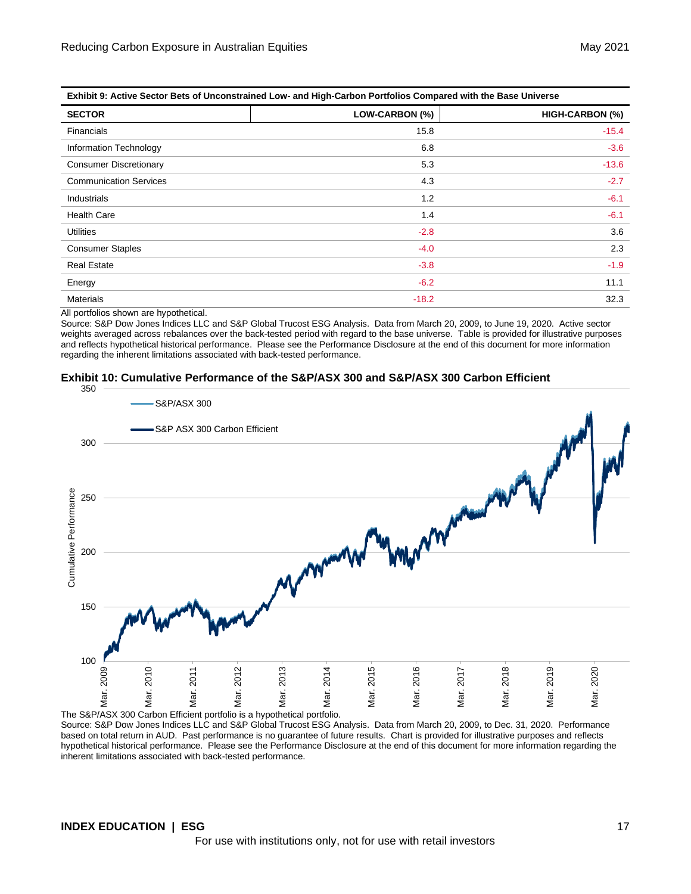| LAMING 3. ACUVE JECTOR DETS OF UNCONSTRUITED LOW- AND HIGH-CARDON FOR HOUSE COMPARED WITH THE DASE ONLYERSE. |                |                 |  |  |
|--------------------------------------------------------------------------------------------------------------|----------------|-----------------|--|--|
| <b>SECTOR</b>                                                                                                | LOW-CARBON (%) | HIGH-CARBON (%) |  |  |
| <b>Financials</b>                                                                                            | 15.8           | $-15.4$         |  |  |
| Information Technology                                                                                       | 6.8            | $-3.6$          |  |  |
| <b>Consumer Discretionary</b>                                                                                | 5.3            | $-13.6$         |  |  |
| <b>Communication Services</b>                                                                                | 4.3            | $-2.7$          |  |  |
| Industrials                                                                                                  | 1.2            | $-6.1$          |  |  |
| <b>Health Care</b>                                                                                           | 1.4            | $-6.1$          |  |  |
| <b>Utilities</b>                                                                                             | $-2.8$         | 3.6             |  |  |
| <b>Consumer Staples</b>                                                                                      | $-4.0$         | 2.3             |  |  |
| <b>Real Estate</b>                                                                                           | $-3.8$         | $-1.9$          |  |  |
| Energy                                                                                                       | $-6.2$         | 11.1            |  |  |
| <b>Materials</b>                                                                                             | $-18.2$        | 32.3            |  |  |

**Exhibit 9: Active Sector Bets of Unconstrained Low- and High-Carbon Portfolios Compared with the Base Universe**

All portfolios shown are hypothetical.

Source: S&P Dow Jones Indices LLC and S&P Global Trucost ESG Analysis. Data from March 20, 2009, to June 19, 2020. Active sector weights averaged across rebalances over the back-tested period with regard to the base universe. Table is provided for illustrative purposes and reflects hypothetical historical performance. Please see the Performance Disclosure at the end of this document for more information regarding the inherent limitations associated with back-tested performance.

### **Exhibit 10: Cumulative Performance of the S&P/ASX 300 and S&P/ASX 300 Carbon Efficient**



The S&P/ASX 300 Carbon Efficient portfolio is a hypothetical portfolio.

Source: S&P Dow Jones Indices LLC and S&P Global Trucost ESG Analysis. Data from March 20, 2009, to Dec. 31, 2020. Performance based on total return in AUD. Past performance is no guarantee of future results. Chart is provided for illustrative purposes and reflects hypothetical historical performance. Please see the Performance Disclosure at the end of this document for more information regarding the inherent limitations associated with back-tested performance.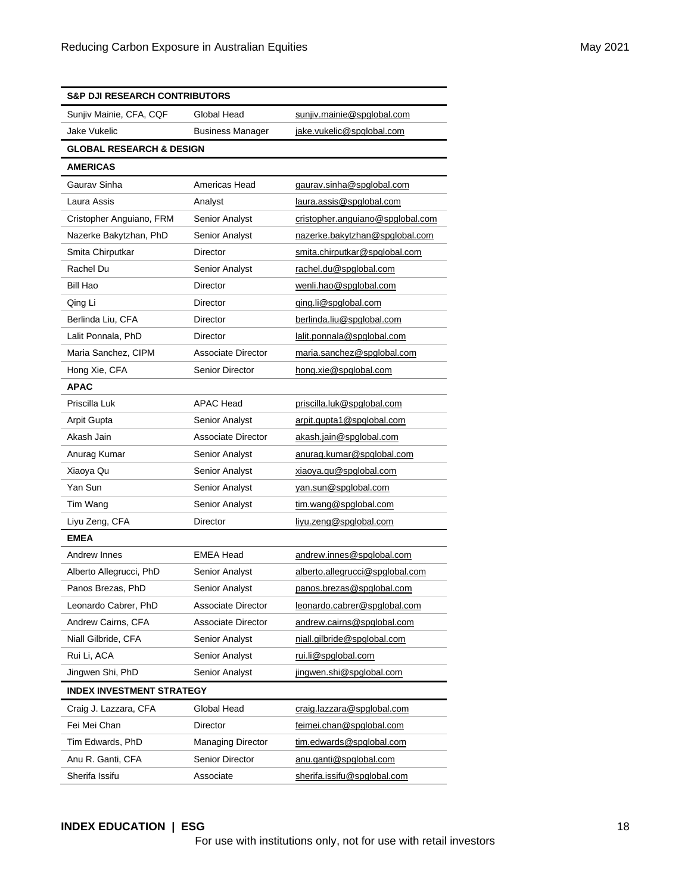| <b>S&amp;P DJI RESEARCH CONTRIBUTORS</b> |                           |                                  |  |
|------------------------------------------|---------------------------|----------------------------------|--|
| Sunjiv Mainie, CFA, CQF                  | Global Head               | sunjiv.mainie@spglobal.com       |  |
| Jake Vukelic                             | <b>Business Manager</b>   | jake.vukelic@spglobal.com        |  |
| <b>GLOBAL RESEARCH &amp; DESIGN</b>      |                           |                                  |  |
| <b>AMERICAS</b>                          |                           |                                  |  |
| Gaurav Sinha                             | Americas Head             | gaurav.sinha@spglobal.com        |  |
| Laura Assis                              | Analyst                   | laura.assis@spglobal.com         |  |
| Cristopher Anguiano, FRM                 | Senior Analyst            | cristopher.anguiano@spglobal.com |  |
| Nazerke Bakytzhan, PhD                   | Senior Analyst            | nazerke.bakytzhan@spglobal.com   |  |
| Smita Chirputkar                         | Director                  | smita.chirputkar@spglobal.com    |  |
| Rachel Du                                | Senior Analyst            | rachel.du@spglobal.com           |  |
| Bill Hao                                 | Director                  | wenli.hao@spglobal.com           |  |
| Qing Li                                  | Director                  | ging.li@spglobal.com             |  |
| Berlinda Liu, CFA                        | Director                  | berlinda.liu@spglobal.com        |  |
| Lalit Ponnala, PhD                       | Director                  | lalit.ponnala@spglobal.com       |  |
| Maria Sanchez, CIPM                      | <b>Associate Director</b> | maria.sanchez@spglobal.com       |  |
| Hong Xie, CFA                            | <b>Senior Director</b>    | hong.xie@spglobal.com            |  |
| <b>APAC</b>                              |                           |                                  |  |
| Priscilla Luk                            | <b>APAC Head</b>          | priscilla.luk@spqlobal.com       |  |
| Arpit Gupta                              | Senior Analyst            | arpit.gupta1@spglobal.com        |  |
| Akash Jain                               | <b>Associate Director</b> | akash.jain@spglobal.com          |  |
| Anurag Kumar                             | <b>Senior Analyst</b>     | anurag.kumar@spglobal.com        |  |
| Xiaoya Qu                                | Senior Analyst            | xiaoya.qu@spglobal.com           |  |
| Yan Sun                                  | Senior Analyst            | yan.sun@spglobal.com             |  |
| Tim Wang                                 | Senior Analyst            | tim.wang@spglobal.com            |  |
| Liyu Zeng, CFA                           | Director                  | liyu.zeng@spglobal.com           |  |
| <b>EMEA</b>                              |                           |                                  |  |
| Andrew Innes                             | <b>EMEA Head</b>          | andrew.innes@spglobal.com        |  |
| Alberto Allegrucci, PhD                  | Senior Analyst            | alberto.allegrucci@spglobal.com  |  |
| Panos Brezas, PhD                        | <b>Senior Analyst</b>     | panos.brezas@spglobal.com        |  |
| Leonardo Cabrer, PhD                     | Associate Director        | leonardo.cabrer@spglobal.com     |  |
| Andrew Cairns, CFA                       | Associate Director        | andrew.cairns@spglobal.com       |  |
| Niall Gilbride, CFA                      | Senior Analyst            | niall.gilbride@spglobal.com      |  |
| Rui Li, ACA                              | Senior Analyst            | rui.li@spglobal.com              |  |
| Jingwen Shi, PhD                         | Senior Analyst            | jingwen.shi@spglobal.com         |  |
| <b>INDEX INVESTMENT STRATEGY</b>         |                           |                                  |  |
| Craig J. Lazzara, CFA                    | Global Head               | craig.lazzara@spglobal.com       |  |
| Fei Mei Chan                             | Director                  | feimei.chan@spglobal.com         |  |
| Tim Edwards, PhD                         | <b>Managing Director</b>  | tim.edwards@spglobal.com         |  |
| Anu R. Ganti, CFA                        | <b>Senior Director</b>    | anu.ganti@spglobal.com           |  |
| Sherifa Issifu                           | Associate                 | sherifa.issifu@spglobal.com      |  |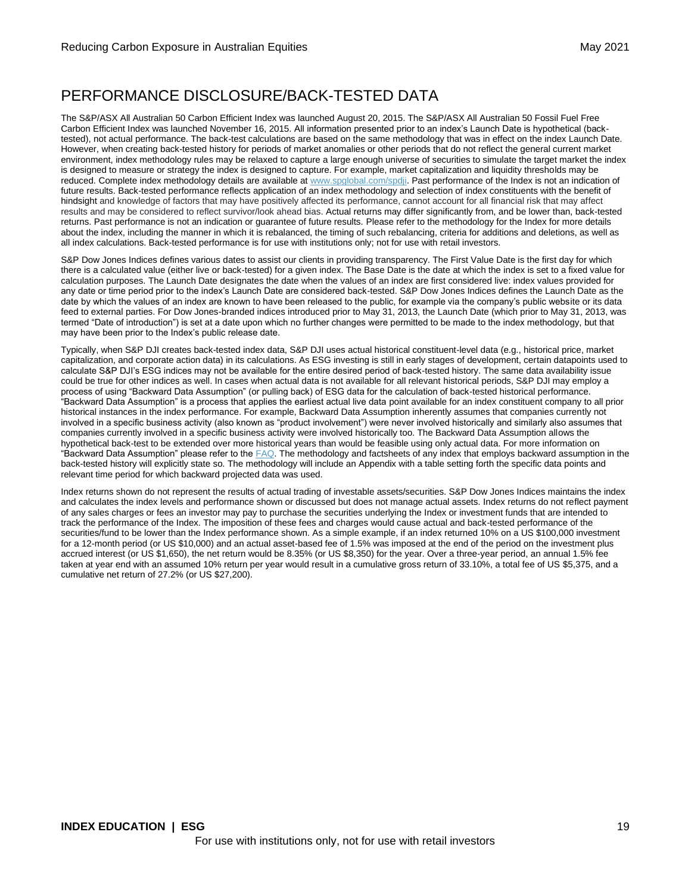# PERFORMANCE DISCLOSURE/BACK-TESTED DATA

The S&P/ASX All Australian 50 Carbon Efficient Index was launched August 20, 2015. The S&P/ASX All Australian 50 Fossil Fuel Free Carbon Efficient Index was launched November 16, 2015. All information presented prior to an index's Launch Date is hypothetical (backtested), not actual performance. The back-test calculations are based on the same methodology that was in effect on the index Launch Date. However, when creating back-tested history for periods of market anomalies or other periods that do not reflect the general current market environment, index methodology rules may be relaxed to capture a large enough universe of securities to simulate the target market the index is designed to measure or strategy the index is designed to capture. For example, market capitalization and liquidity thresholds may be reduced. Complete index methodology details are available at [www.spglobal.com/spdji.](http://www.spglobal.com/spdji) Past performance of the Index is not an indication of future results. Back-tested performance reflects application of an index methodology and selection of index constituents with the benefit of hindsight and knowledge of factors that may have positively affected its performance, cannot account for all financial risk that may affect results and may be considered to reflect survivor/look ahead bias. Actual returns may differ significantly from, and be lower than, back-tested returns. Past performance is not an indication or guarantee of future results. Please refer to the methodology for the Index for more details about the index, including the manner in which it is rebalanced, the timing of such rebalancing, criteria for additions and deletions, as well as all index calculations. Back-tested performance is for use with institutions only; not for use with retail investors.

S&P Dow Jones Indices defines various dates to assist our clients in providing transparency. The First Value Date is the first day for which there is a calculated value (either live or back-tested) for a given index. The Base Date is the date at which the index is set to a fixed value for calculation purposes. The Launch Date designates the date when the values of an index are first considered live: index values provided for any date or time period prior to the index's Launch Date are considered back-tested. S&P Dow Jones Indices defines the Launch Date as the date by which the values of an index are known to have been released to the public, for example via the company's public website or its data feed to external parties. For Dow Jones-branded indices introduced prior to May 31, 2013, the Launch Date (which prior to May 31, 2013, was termed "Date of introduction") is set at a date upon which no further changes were permitted to be made to the index methodology, but that may have been prior to the Index's public release date.

Typically, when S&P DJI creates back-tested index data, S&P DJI uses actual historical constituent-level data (e.g., historical price, market capitalization, and corporate action data) in its calculations. As ESG investing is still in early stages of development, certain datapoints used to calculate S&P DJI's ESG indices may not be available for the entire desired period of back-tested history. The same data availability issue could be true for other indices as well. In cases when actual data is not available for all relevant historical periods, S&P DJI may employ a process of using "Backward Data Assumption" (or pulling back) of ESG data for the calculation of back-tested historical performance. "Backward Data Assumption" is a process that applies the earliest actual live data point available for an index constituent company to all prior historical instances in the index performance. For example, Backward Data Assumption inherently assumes that companies currently not involved in a specific business activity (also known as "product involvement") were never involved historically and similarly also assumes that companies currently involved in a specific business activity were involved historically too. The Backward Data Assumption allows the hypothetical back-test to be extended over more historical years than would be feasible using only actual data. For more information on "Backward Data Assumption" please refer to th[e FAQ.](https://www.spglobal.com/spdji/en/education/article/faq-esg-back-testing-backward-data-assumption-overview/) The methodology and factsheets of any index that employs backward assumption in the back-tested history will explicitly state so. The methodology will include an Appendix with a table setting forth the specific data points and relevant time period for which backward projected data was used.

Index returns shown do not represent the results of actual trading of investable assets/securities. S&P Dow Jones Indices maintains the index and calculates the index levels and performance shown or discussed but does not manage actual assets. Index returns do not reflect payment of any sales charges or fees an investor may pay to purchase the securities underlying the Index or investment funds that are intended to track the performance of the Index. The imposition of these fees and charges would cause actual and back-tested performance of the securities/fund to be lower than the Index performance shown. As a simple example, if an index returned 10% on a US \$100,000 investment for a 12-month period (or US \$10,000) and an actual asset-based fee of 1.5% was imposed at the end of the period on the investment plus accrued interest (or US \$1,650), the net return would be 8.35% (or US \$8,350) for the year. Over a three-year period, an annual 1.5% fee taken at year end with an assumed 10% return per year would result in a cumulative gross return of 33.10%, a total fee of US \$5,375, and a cumulative net return of 27.2% (or US \$27,200).